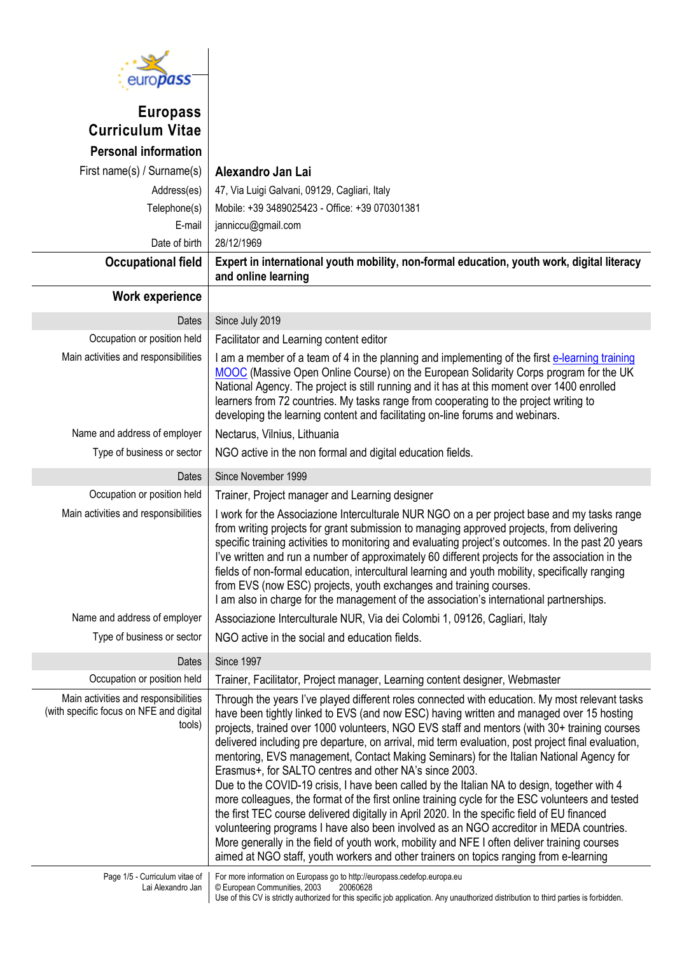

## **Europass Curriculum Vitae Personal information**

| First name(s) / Surname(s)                                                                | Alexandro Jan Lai                                                                                                                                                                                                                                                                                                                                                                                                                                                                                                                                                                                                                                                                                                                                                                                                                                                                                                                                                                                                                                                                                                                             |
|-------------------------------------------------------------------------------------------|-----------------------------------------------------------------------------------------------------------------------------------------------------------------------------------------------------------------------------------------------------------------------------------------------------------------------------------------------------------------------------------------------------------------------------------------------------------------------------------------------------------------------------------------------------------------------------------------------------------------------------------------------------------------------------------------------------------------------------------------------------------------------------------------------------------------------------------------------------------------------------------------------------------------------------------------------------------------------------------------------------------------------------------------------------------------------------------------------------------------------------------------------|
| Address(es)                                                                               | 47, Via Luigi Galvani, 09129, Cagliari, Italy                                                                                                                                                                                                                                                                                                                                                                                                                                                                                                                                                                                                                                                                                                                                                                                                                                                                                                                                                                                                                                                                                                 |
| Telephone(s)                                                                              | Mobile: +39 3489025423 - Office: +39 070301381                                                                                                                                                                                                                                                                                                                                                                                                                                                                                                                                                                                                                                                                                                                                                                                                                                                                                                                                                                                                                                                                                                |
| E-mail                                                                                    | janniccu@gmail.com                                                                                                                                                                                                                                                                                                                                                                                                                                                                                                                                                                                                                                                                                                                                                                                                                                                                                                                                                                                                                                                                                                                            |
| Date of birth                                                                             | 28/12/1969                                                                                                                                                                                                                                                                                                                                                                                                                                                                                                                                                                                                                                                                                                                                                                                                                                                                                                                                                                                                                                                                                                                                    |
| <b>Occupational field</b>                                                                 | Expert in international youth mobility, non-formal education, youth work, digital literacy<br>and online learning                                                                                                                                                                                                                                                                                                                                                                                                                                                                                                                                                                                                                                                                                                                                                                                                                                                                                                                                                                                                                             |
| <b>Work experience</b>                                                                    |                                                                                                                                                                                                                                                                                                                                                                                                                                                                                                                                                                                                                                                                                                                                                                                                                                                                                                                                                                                                                                                                                                                                               |
| Dates                                                                                     | Since July 2019                                                                                                                                                                                                                                                                                                                                                                                                                                                                                                                                                                                                                                                                                                                                                                                                                                                                                                                                                                                                                                                                                                                               |
| Occupation or position held                                                               | Facilitator and Learning content editor                                                                                                                                                                                                                                                                                                                                                                                                                                                                                                                                                                                                                                                                                                                                                                                                                                                                                                                                                                                                                                                                                                       |
| Main activities and responsibilities                                                      | I am a member of a team of 4 in the planning and implementing of the first e-learning training<br>MOOC (Massive Open Online Course) on the European Solidarity Corps program for the UK<br>National Agency. The project is still running and it has at this moment over 1400 enrolled<br>learners from 72 countries. My tasks range from cooperating to the project writing to<br>developing the learning content and facilitating on-line forums and webinars.                                                                                                                                                                                                                                                                                                                                                                                                                                                                                                                                                                                                                                                                               |
| Name and address of employer                                                              | Nectarus, Vilnius, Lithuania                                                                                                                                                                                                                                                                                                                                                                                                                                                                                                                                                                                                                                                                                                                                                                                                                                                                                                                                                                                                                                                                                                                  |
| Type of business or sector                                                                | NGO active in the non formal and digital education fields.                                                                                                                                                                                                                                                                                                                                                                                                                                                                                                                                                                                                                                                                                                                                                                                                                                                                                                                                                                                                                                                                                    |
| Dates                                                                                     | Since November 1999                                                                                                                                                                                                                                                                                                                                                                                                                                                                                                                                                                                                                                                                                                                                                                                                                                                                                                                                                                                                                                                                                                                           |
| Occupation or position held                                                               | Trainer, Project manager and Learning designer                                                                                                                                                                                                                                                                                                                                                                                                                                                                                                                                                                                                                                                                                                                                                                                                                                                                                                                                                                                                                                                                                                |
| Main activities and responsibilities                                                      | I work for the Associazione Interculturale NUR NGO on a per project base and my tasks range<br>from writing projects for grant submission to managing approved projects, from delivering<br>specific training activities to monitoring and evaluating project's outcomes. In the past 20 years<br>I've written and run a number of approximately 60 different projects for the association in the<br>fields of non-formal education, intercultural learning and youth mobility, specifically ranging<br>from EVS (now ESC) projects, youth exchanges and training courses.<br>I am also in charge for the management of the association's international partnerships.                                                                                                                                                                                                                                                                                                                                                                                                                                                                         |
| Name and address of employer                                                              | Associazione Interculturale NUR, Via dei Colombi 1, 09126, Cagliari, Italy                                                                                                                                                                                                                                                                                                                                                                                                                                                                                                                                                                                                                                                                                                                                                                                                                                                                                                                                                                                                                                                                    |
| Type of business or sector                                                                | NGO active in the social and education fields.                                                                                                                                                                                                                                                                                                                                                                                                                                                                                                                                                                                                                                                                                                                                                                                                                                                                                                                                                                                                                                                                                                |
| Dates                                                                                     | Since 1997                                                                                                                                                                                                                                                                                                                                                                                                                                                                                                                                                                                                                                                                                                                                                                                                                                                                                                                                                                                                                                                                                                                                    |
| Occupation or position held                                                               | Trainer, Facilitator, Project manager, Learning content designer, Webmaster                                                                                                                                                                                                                                                                                                                                                                                                                                                                                                                                                                                                                                                                                                                                                                                                                                                                                                                                                                                                                                                                   |
| Main activities and responsibilities<br>(with specific focus on NFE and digital<br>tools) | Through the years I've played different roles connected with education. My most relevant tasks<br>have been tightly linked to EVS (and now ESC) having written and managed over 15 hosting<br>projects, trained over 1000 volunteers, NGO EVS staff and mentors (with 30+ training courses<br>delivered including pre departure, on arrival, mid term evaluation, post project final evaluation,<br>mentoring, EVS management, Contact Making Seminars) for the Italian National Agency for<br>Erasmus+, for SALTO centres and other NA's since 2003.<br>Due to the COVID-19 crisis, I have been called by the Italian NA to design, together with 4<br>more colleagues, the format of the first online training cycle for the ESC volunteers and tested<br>the first TEC course delivered digitally in April 2020. In the specific field of EU financed<br>volunteering programs I have also been involved as an NGO accreditor in MEDA countries.<br>More generally in the field of youth work, mobility and NFE I often deliver training courses<br>aimed at NGO staff, youth workers and other trainers on topics ranging from e-learning |
| Page 1/5 - Curriculum vitae of<br>Lai Alexandro Jan                                       | For more information on Europass go to http://europass.cedefop.europa.eu<br>© European Communities, 2003<br>20060628<br>Use of this CV is strictly authorized for this specific job application. Any unauthorized distribution to third parties is forbidden.                                                                                                                                                                                                                                                                                                                                                                                                                                                                                                                                                                                                                                                                                                                                                                                                                                                                                 |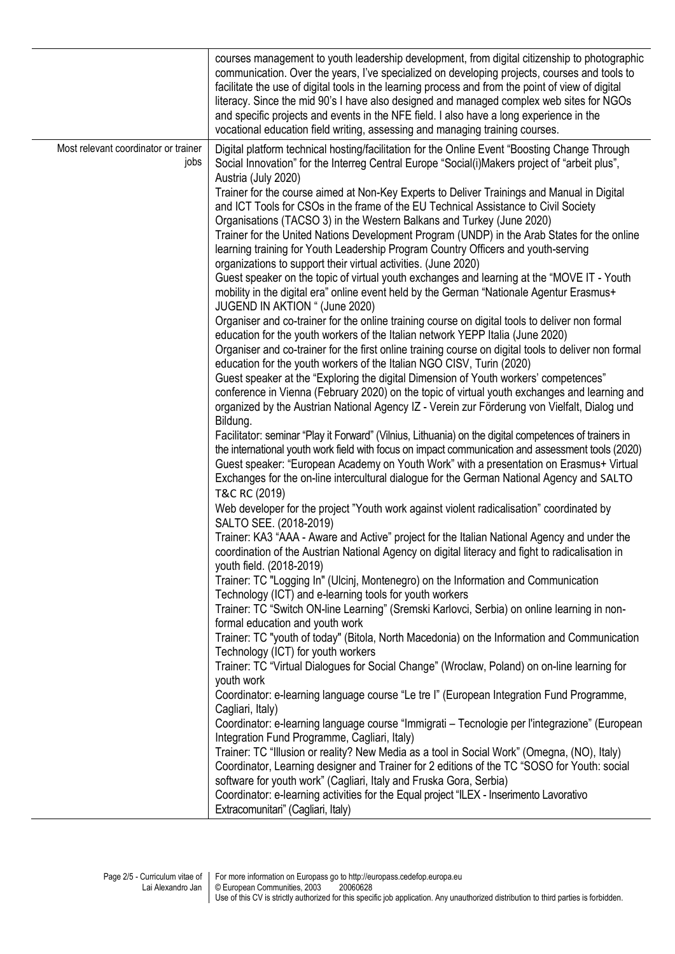|                                              | courses management to youth leadership development, from digital citizenship to photographic<br>communication. Over the years, I've specialized on developing projects, courses and tools to<br>facilitate the use of digital tools in the learning process and from the point of view of digital<br>literacy. Since the mid 90's I have also designed and managed complex web sites for NGOs<br>and specific projects and events in the NFE field. I also have a long experience in the<br>vocational education field writing, assessing and managing training courses.                                                                                                                                                                                                                                                                                                                                                                                                                                                                                                                                                                                                                                                                                                                                                                                                                                                                                                                                                                                                                                                                                                                                                                                                                                                                                                                                                                                                                                                                                                                                                                                                                                                                                                                                                                                                                                                                                                                                                                                                                                                                                                                                                                                                                                                                                                                                                                                                                                                                                                                                                                                                                                                                                                                                                         |
|----------------------------------------------|----------------------------------------------------------------------------------------------------------------------------------------------------------------------------------------------------------------------------------------------------------------------------------------------------------------------------------------------------------------------------------------------------------------------------------------------------------------------------------------------------------------------------------------------------------------------------------------------------------------------------------------------------------------------------------------------------------------------------------------------------------------------------------------------------------------------------------------------------------------------------------------------------------------------------------------------------------------------------------------------------------------------------------------------------------------------------------------------------------------------------------------------------------------------------------------------------------------------------------------------------------------------------------------------------------------------------------------------------------------------------------------------------------------------------------------------------------------------------------------------------------------------------------------------------------------------------------------------------------------------------------------------------------------------------------------------------------------------------------------------------------------------------------------------------------------------------------------------------------------------------------------------------------------------------------------------------------------------------------------------------------------------------------------------------------------------------------------------------------------------------------------------------------------------------------------------------------------------------------------------------------------------------------------------------------------------------------------------------------------------------------------------------------------------------------------------------------------------------------------------------------------------------------------------------------------------------------------------------------------------------------------------------------------------------------------------------------------------------------------------------------------------------------------------------------------------------------------------------------------------------------------------------------------------------------------------------------------------------------------------------------------------------------------------------------------------------------------------------------------------------------------------------------------------------------------------------------------------------------------------------------------------------------------------------------------------------------|
| Most relevant coordinator or trainer<br>jobs | Digital platform technical hosting/facilitation for the Online Event "Boosting Change Through<br>Social Innovation" for the Interreg Central Europe "Social(i) Makers project of "arbeit plus",<br>Austria (July 2020)<br>Trainer for the course aimed at Non-Key Experts to Deliver Trainings and Manual in Digital<br>and ICT Tools for CSOs in the frame of the EU Technical Assistance to Civil Society<br>Organisations (TACSO 3) in the Western Balkans and Turkey (June 2020)<br>Trainer for the United Nations Development Program (UNDP) in the Arab States for the online<br>learning training for Youth Leadership Program Country Officers and youth-serving<br>organizations to support their virtual activities. (June 2020)<br>Guest speaker on the topic of virtual youth exchanges and learning at the "MOVE IT - Youth<br>mobility in the digital era" online event held by the German "Nationale Agentur Erasmus+<br>JUGEND IN AKTION " (June 2020)<br>Organiser and co-trainer for the online training course on digital tools to deliver non formal<br>education for the youth workers of the Italian network YEPP Italia (June 2020)<br>Organiser and co-trainer for the first online training course on digital tools to deliver non formal<br>education for the youth workers of the Italian NGO CISV, Turin (2020)<br>Guest speaker at the "Exploring the digital Dimension of Youth workers' competences"<br>conference in Vienna (February 2020) on the topic of virtual youth exchanges and learning and<br>organized by the Austrian National Agency IZ - Verein zur Förderung von Vielfalt, Dialog und<br>Bildung.<br>Facilitator: seminar "Play it Forward" (Vilnius, Lithuania) on the digital competences of trainers in<br>the international youth work field with focus on impact communication and assessment tools (2020)<br>Guest speaker: "European Academy on Youth Work" with a presentation on Erasmus+ Virtual<br>Exchanges for the on-line intercultural dialogue for the German National Agency and SALTO<br>T&C RC (2019)<br>Web developer for the project "Youth work against violent radicalisation" coordinated by<br>SALTO SEE. (2018-2019)<br>Trainer: KA3 "AAA - Aware and Active" project for the Italian National Agency and under the<br>coordination of the Austrian National Agency on digital literacy and fight to radicalisation in<br>youth field. (2018-2019)<br>Trainer: TC "Logging In" (Ulcinj, Montenegro) on the Information and Communication<br>Technology (ICT) and e-learning tools for youth workers<br>Trainer: TC "Switch ON-line Learning" (Sremski Karlovci, Serbia) on online learning in non-<br>formal education and youth work<br>Trainer: TC "youth of today" (Bitola, North Macedonia) on the Information and Communication<br>Technology (ICT) for youth workers<br>Trainer: TC "Virtual Dialogues for Social Change" (Wroclaw, Poland) on on-line learning for<br>youth work<br>Coordinator: e-learning language course "Le tre I" (European Integration Fund Programme,<br>Cagliari, Italy)<br>Coordinator: e-learning language course "Immigrati - Tecnologie per l'integrazione" (European<br>Integration Fund Programme, Cagliari, Italy)<br>Trainer: TC "Illusion or reality? New Media as a tool in Social Work" (Omegna, (NO), Italy) |
|                                              | Coordinator, Learning designer and Trainer for 2 editions of the TC "SOSO for Youth: social<br>software for youth work" (Cagliari, Italy and Fruska Gora, Serbia)<br>Coordinator: e-learning activities for the Equal project "ILEX - Inserimento Lavorativo<br>Extracomunitari" (Cagliari, Italy)                                                                                                                                                                                                                                                                                                                                                                                                                                                                                                                                                                                                                                                                                                                                                                                                                                                                                                                                                                                                                                                                                                                                                                                                                                                                                                                                                                                                                                                                                                                                                                                                                                                                                                                                                                                                                                                                                                                                                                                                                                                                                                                                                                                                                                                                                                                                                                                                                                                                                                                                                                                                                                                                                                                                                                                                                                                                                                                                                                                                                               |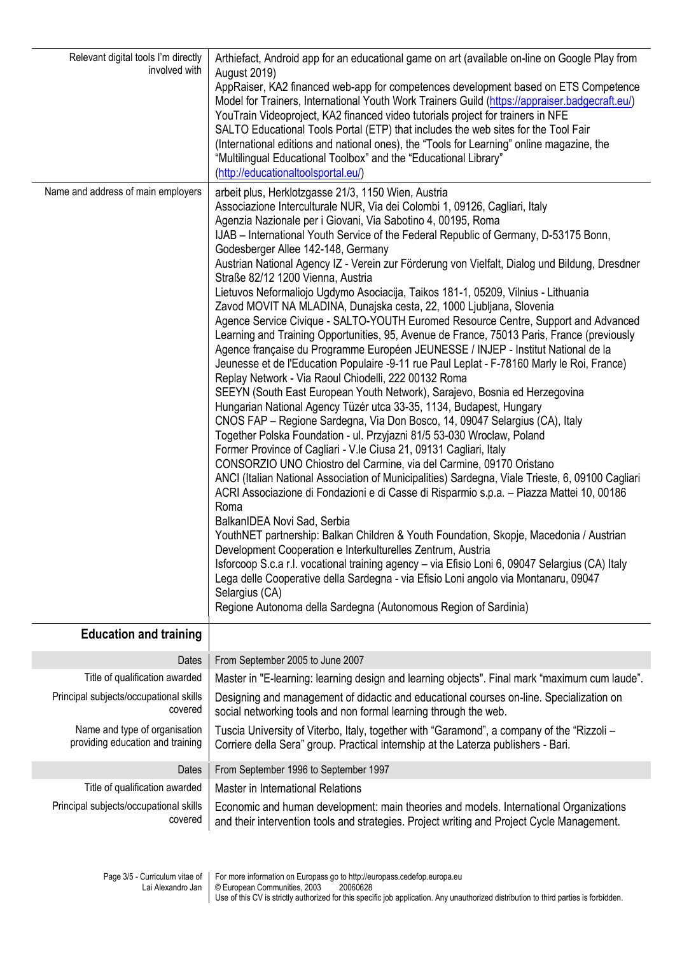| Relevant digital tools I'm directly<br>involved with<br>Name and address of main employers | Arthiefact, Android app for an educational game on art (available on-line on Google Play from<br><b>August 2019)</b><br>AppRaiser, KA2 financed web-app for competences development based on ETS Competence<br>Model for Trainers, International Youth Work Trainers Guild (https://appraiser.badgecraft.eu/)<br>YouTrain Videoproject, KA2 financed video tutorials project for trainers in NFE<br>SALTO Educational Tools Portal (ETP) that includes the web sites for the Tool Fair<br>(International editions and national ones), the "Tools for Learning" online magazine, the<br>"Multilingual Educational Toolbox" and the "Educational Library"<br>(http://educationaltoolsportal.eu/)<br>arbeit plus, Herklotzgasse 21/3, 1150 Wien, Austria<br>Associazione Interculturale NUR, Via dei Colombi 1, 09126, Cagliari, Italy<br>Agenzia Nazionale per i Giovani, Via Sabotino 4, 00195, Roma<br>IJAB - International Youth Service of the Federal Republic of Germany, D-53175 Bonn,<br>Godesberger Allee 142-148, Germany<br>Austrian National Agency IZ - Verein zur Förderung von Vielfalt, Dialog und Bildung, Dresdner<br>Straße 82/12 1200 Vienna, Austria<br>Lietuvos Neformaliojo Ugdymo Asociacija, Taikos 181-1, 05209, Vilnius - Lithuania<br>Zavod MOVIT NA MLADINA, Dunajska cesta, 22, 1000 Ljubljana, Slovenia<br>Agence Service Civique - SALTO-YOUTH Euromed Resource Centre, Support and Advanced<br>Learning and Training Opportunities, 95, Avenue de France, 75013 Paris, France (previously<br>Agence française du Programme Européen JEUNESSE / INJEP - Institut National de la<br>Jeunesse et de l'Education Populaire -9-11 rue Paul Leplat - F-78160 Marly le Roi, France)<br>Replay Network - Via Raoul Chiodelli, 222 00132 Roma<br>SEEYN (South East European Youth Network), Sarajevo, Bosnia ed Herzegovina<br>Hungarian National Agency Tüzér utca 33-35, 1134, Budapest, Hungary<br>CNOS FAP - Regione Sardegna, Via Don Bosco, 14, 09047 Selargius (CA), Italy<br>Together Polska Foundation - ul. Przyjazni 81/5 53-030 Wroclaw, Poland<br>Former Province of Cagliari - V.le Ciusa 21, 09131 Cagliari, Italy<br>CONSORZIO UNO Chiostro del Carmine, via del Carmine, 09170 Oristano<br>ANCI (Italian National Association of Municipalities) Sardegna, Viale Trieste, 6, 09100 Cagliari<br>ACRI Associazione di Fondazioni e di Casse di Risparmio s.p.a. - Piazza Mattei 10, 00186<br>Roma<br>BalkanIDEA Novi Sad, Serbia<br>YouthNET partnership: Balkan Children & Youth Foundation, Skopje, Macedonia / Austrian<br>Development Cooperation e Interkulturelles Zentrum, Austria<br>Isforcoop S.c.a r.l. vocational training agency - via Efisio Loni 6, 09047 Selargius (CA) Italy |  |  |  |  |
|--------------------------------------------------------------------------------------------|-----------------------------------------------------------------------------------------------------------------------------------------------------------------------------------------------------------------------------------------------------------------------------------------------------------------------------------------------------------------------------------------------------------------------------------------------------------------------------------------------------------------------------------------------------------------------------------------------------------------------------------------------------------------------------------------------------------------------------------------------------------------------------------------------------------------------------------------------------------------------------------------------------------------------------------------------------------------------------------------------------------------------------------------------------------------------------------------------------------------------------------------------------------------------------------------------------------------------------------------------------------------------------------------------------------------------------------------------------------------------------------------------------------------------------------------------------------------------------------------------------------------------------------------------------------------------------------------------------------------------------------------------------------------------------------------------------------------------------------------------------------------------------------------------------------------------------------------------------------------------------------------------------------------------------------------------------------------------------------------------------------------------------------------------------------------------------------------------------------------------------------------------------------------------------------------------------------------------------------------------------------------------------------------------------------------------------------------------------------------------------------------------------------------------------------------------------------------------------------------------------------------------------------------------------------------------------------------------------------------------------------------------------------------------------------------------------------------------------------|--|--|--|--|
|                                                                                            | Lega delle Cooperative della Sardegna - via Efisio Loni angolo via Montanaru, 09047<br>Selargius (CA)<br>Regione Autonoma della Sardegna (Autonomous Region of Sardinia)                                                                                                                                                                                                                                                                                                                                                                                                                                                                                                                                                                                                                                                                                                                                                                                                                                                                                                                                                                                                                                                                                                                                                                                                                                                                                                                                                                                                                                                                                                                                                                                                                                                                                                                                                                                                                                                                                                                                                                                                                                                                                                                                                                                                                                                                                                                                                                                                                                                                                                                                                          |  |  |  |  |
| <b>Education and training</b>                                                              |                                                                                                                                                                                                                                                                                                                                                                                                                                                                                                                                                                                                                                                                                                                                                                                                                                                                                                                                                                                                                                                                                                                                                                                                                                                                                                                                                                                                                                                                                                                                                                                                                                                                                                                                                                                                                                                                                                                                                                                                                                                                                                                                                                                                                                                                                                                                                                                                                                                                                                                                                                                                                                                                                                                                   |  |  |  |  |
|                                                                                            |                                                                                                                                                                                                                                                                                                                                                                                                                                                                                                                                                                                                                                                                                                                                                                                                                                                                                                                                                                                                                                                                                                                                                                                                                                                                                                                                                                                                                                                                                                                                                                                                                                                                                                                                                                                                                                                                                                                                                                                                                                                                                                                                                                                                                                                                                                                                                                                                                                                                                                                                                                                                                                                                                                                                   |  |  |  |  |
| Dates                                                                                      | From September 2005 to June 2007                                                                                                                                                                                                                                                                                                                                                                                                                                                                                                                                                                                                                                                                                                                                                                                                                                                                                                                                                                                                                                                                                                                                                                                                                                                                                                                                                                                                                                                                                                                                                                                                                                                                                                                                                                                                                                                                                                                                                                                                                                                                                                                                                                                                                                                                                                                                                                                                                                                                                                                                                                                                                                                                                                  |  |  |  |  |
| Title of qualification awarded                                                             | Master in "E-learning: learning design and learning objects". Final mark "maximum cum laude".                                                                                                                                                                                                                                                                                                                                                                                                                                                                                                                                                                                                                                                                                                                                                                                                                                                                                                                                                                                                                                                                                                                                                                                                                                                                                                                                                                                                                                                                                                                                                                                                                                                                                                                                                                                                                                                                                                                                                                                                                                                                                                                                                                                                                                                                                                                                                                                                                                                                                                                                                                                                                                     |  |  |  |  |
| Principal subjects/occupational skills<br>covered                                          | Designing and management of didactic and educational courses on-line. Specialization on<br>social networking tools and non formal learning through the web.                                                                                                                                                                                                                                                                                                                                                                                                                                                                                                                                                                                                                                                                                                                                                                                                                                                                                                                                                                                                                                                                                                                                                                                                                                                                                                                                                                                                                                                                                                                                                                                                                                                                                                                                                                                                                                                                                                                                                                                                                                                                                                                                                                                                                                                                                                                                                                                                                                                                                                                                                                       |  |  |  |  |
| Name and type of organisation<br>providing education and training                          | Tuscia University of Viterbo, Italy, together with "Garamond", a company of the "Rizzoli -<br>Corriere della Sera" group. Practical internship at the Laterza publishers - Bari.                                                                                                                                                                                                                                                                                                                                                                                                                                                                                                                                                                                                                                                                                                                                                                                                                                                                                                                                                                                                                                                                                                                                                                                                                                                                                                                                                                                                                                                                                                                                                                                                                                                                                                                                                                                                                                                                                                                                                                                                                                                                                                                                                                                                                                                                                                                                                                                                                                                                                                                                                  |  |  |  |  |
| Dates                                                                                      | From September 1996 to September 1997                                                                                                                                                                                                                                                                                                                                                                                                                                                                                                                                                                                                                                                                                                                                                                                                                                                                                                                                                                                                                                                                                                                                                                                                                                                                                                                                                                                                                                                                                                                                                                                                                                                                                                                                                                                                                                                                                                                                                                                                                                                                                                                                                                                                                                                                                                                                                                                                                                                                                                                                                                                                                                                                                             |  |  |  |  |
| Title of qualification awarded<br>Master in International Relations                        |                                                                                                                                                                                                                                                                                                                                                                                                                                                                                                                                                                                                                                                                                                                                                                                                                                                                                                                                                                                                                                                                                                                                                                                                                                                                                                                                                                                                                                                                                                                                                                                                                                                                                                                                                                                                                                                                                                                                                                                                                                                                                                                                                                                                                                                                                                                                                                                                                                                                                                                                                                                                                                                                                                                                   |  |  |  |  |
| Principal subjects/occupational skills<br>covered                                          | Economic and human development: main theories and models. International Organizations<br>and their intervention tools and strategies. Project writing and Project Cycle Management.                                                                                                                                                                                                                                                                                                                                                                                                                                                                                                                                                                                                                                                                                                                                                                                                                                                                                                                                                                                                                                                                                                                                                                                                                                                                                                                                                                                                                                                                                                                                                                                                                                                                                                                                                                                                                                                                                                                                                                                                                                                                                                                                                                                                                                                                                                                                                                                                                                                                                                                                               |  |  |  |  |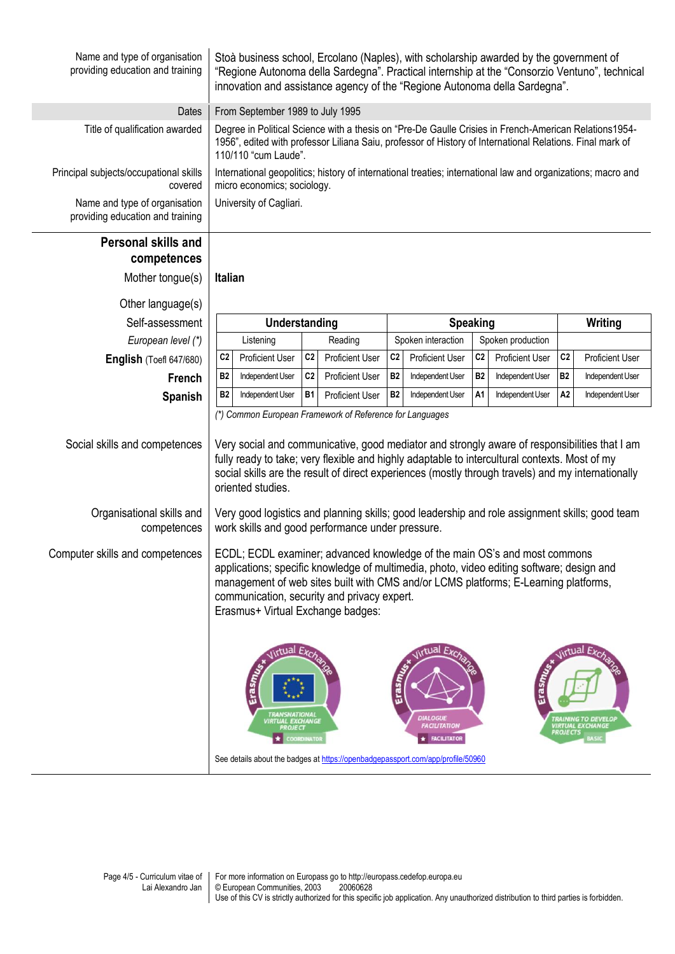| Name and type of organisation<br>providing education and training | Stoà business school, Ercolano (Naples), with scholarship awarded by the government of<br>"Regione Autonoma della Sardegna". Practical internship at the "Consorzio Ventuno", technical<br>innovation and assistance agency of the "Regione Autonoma della Sardegna".                                                                                                                 |                                  |                        |                         |                                                                                |                |                        |                 |                                                                      |
|-------------------------------------------------------------------|---------------------------------------------------------------------------------------------------------------------------------------------------------------------------------------------------------------------------------------------------------------------------------------------------------------------------------------------------------------------------------------|----------------------------------|------------------------|-------------------------|--------------------------------------------------------------------------------|----------------|------------------------|-----------------|----------------------------------------------------------------------|
| Dates                                                             |                                                                                                                                                                                                                                                                                                                                                                                       | From September 1989 to July 1995 |                        |                         |                                                                                |                |                        |                 |                                                                      |
| Title of qualification awarded                                    | Degree in Political Science with a thesis on "Pre-De Gaulle Crisies in French-American Relations1954-<br>1956", edited with professor Liliana Saiu, professor of History of International Relations. Final mark of<br>110/110 "cum Laude".                                                                                                                                            |                                  |                        |                         |                                                                                |                |                        |                 |                                                                      |
| Principal subjects/occupational skills<br>covered                 | International geopolitics; history of international treaties; international law and organizations; macro and<br>micro economics; sociology.                                                                                                                                                                                                                                           |                                  |                        |                         |                                                                                |                |                        |                 |                                                                      |
| Name and type of organisation<br>providing education and training |                                                                                                                                                                                                                                                                                                                                                                                       | University of Cagliari.          |                        |                         |                                                                                |                |                        |                 |                                                                      |
| <b>Personal skills and</b>                                        |                                                                                                                                                                                                                                                                                                                                                                                       |                                  |                        |                         |                                                                                |                |                        |                 |                                                                      |
| competences                                                       |                                                                                                                                                                                                                                                                                                                                                                                       |                                  |                        |                         |                                                                                |                |                        |                 |                                                                      |
| Mother tongue(s)                                                  | <b>Italian</b>                                                                                                                                                                                                                                                                                                                                                                        |                                  |                        |                         |                                                                                |                |                        |                 |                                                                      |
| Other language(s)                                                 |                                                                                                                                                                                                                                                                                                                                                                                       |                                  |                        |                         |                                                                                |                |                        |                 |                                                                      |
| Self-assessment                                                   | Understanding                                                                                                                                                                                                                                                                                                                                                                         |                                  |                        |                         | <b>Speaking</b>                                                                |                |                        | Writing         |                                                                      |
| European level (*)                                                | Listening                                                                                                                                                                                                                                                                                                                                                                             |                                  | Reading                |                         | Spoken interaction                                                             |                | Spoken production      |                 |                                                                      |
| English (Toefl 647/680)                                           | C <sub>2</sub><br><b>Proficient User</b>                                                                                                                                                                                                                                                                                                                                              | C <sub>2</sub>                   | <b>Proficient User</b> | C <sub>2</sub>          | <b>Proficient User</b>                                                         | C <sub>2</sub> | <b>Proficient User</b> | C <sub>2</sub>  | <b>Proficient User</b>                                               |
| <b>French</b>                                                     | <b>B2</b><br>Independent User                                                                                                                                                                                                                                                                                                                                                         | C <sub>2</sub>                   | <b>Proficient User</b> | <b>B2</b>               | Independent User                                                               | <b>B2</b>      | Independent User       | <b>B2</b>       | Independent User                                                     |
| <b>Spanish</b>                                                    | <b>B2</b><br>Independent User                                                                                                                                                                                                                                                                                                                                                         | <b>B1</b>                        | <b>Proficient User</b> | <b>B2</b>               | Independent User                                                               | A1             | Independent User       | A <sub>2</sub>  | Independent User                                                     |
| Social skills and competences                                     | (*) Common European Framework of Reference for Languages<br>Very social and communicative, good mediator and strongly aware of responsibilities that I am<br>fully ready to take; very flexible and highly adaptable to intercultural contexts. Most of my<br>social skills are the result of direct experiences (mostly through travels) and my internationally<br>oriented studies. |                                  |                        |                         |                                                                                |                |                        |                 |                                                                      |
| Organisational skills and<br>competences                          | Very good logistics and planning skills; good leadership and role assignment skills; good team<br>work skills and good performance under pressure.                                                                                                                                                                                                                                    |                                  |                        |                         |                                                                                |                |                        |                 |                                                                      |
| Computer skills and competences                                   | ECDL; ECDL examiner; advanced knowledge of the main OS's and most commons<br>applications; specific knowledge of multimedia, photo, video editing software; design and<br>management of web sites built with CMS and/or LCMS platforms; E-Learning platforms,<br>communication, security and privacy expert.<br>Erasmus+ Virtual Exchange badges:                                     |                                  |                        |                         |                                                                                |                |                        |                 |                                                                      |
|                                                                   | <b>Jirtual</b><br>Erası<br><b><i>TRANSNATIONAL</i></b><br>VIRTUAL EXCHANGE<br><b>PROJECT</b><br>See details about the badges at https://openbadgepassport.com/app/profile/50960                                                                                                                                                                                                       | COORDINATOR                      |                        | $E$ ras $m_{\ell \ell}$ | <b>Jirtual</b><br><b>DIALOGUE</b><br><b>FACILITATION</b><br><b>FACILITATOR</b> |                |                        | <b>PROJECTS</b> | lirtual Exc<br><b>TRAINING TO DEVELOP</b><br><b>IIRTUAL EXCHANGE</b> |